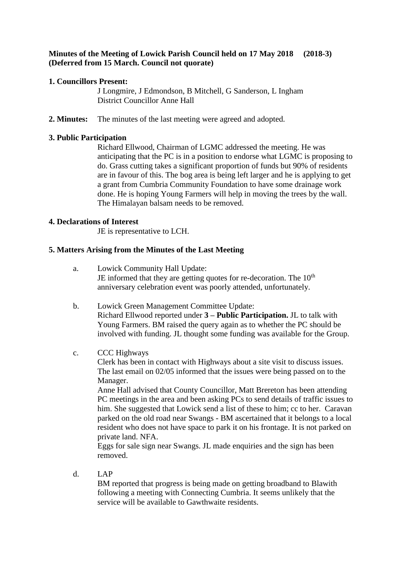# **Minutes of the Meeting of Lowick Parish Council held on 17 May 2018 (2018-3) (Deferred from 15 March. Council not quorate)**

# **1. Councillors Present:**

J Longmire, J Edmondson, B Mitchell, G Sanderson, L Ingham District Councillor Anne Hall

**2. Minutes:** The minutes of the last meeting were agreed and adopted.

## **3. Public Participation**

Richard Ellwood, Chairman of LGMC addressed the meeting. He was anticipating that the PC is in a position to endorse what LGMC is proposing to do. Grass cutting takes a significant proportion of funds but 90% of residents are in favour of this. The bog area is being left larger and he is applying to get a grant from Cumbria Community Foundation to have some drainage work done. He is hoping Young Farmers will help in moving the trees by the wall. The Himalayan balsam needs to be removed.

## **4. Declarations of Interest**

JE is representative to LCH.

## **5. Matters Arising from the Minutes of the Last Meeting**

- a. Lowick Community Hall Update: JE informed that they are getting quotes for re-decoration. The  $10<sup>th</sup>$ anniversary celebration event was poorly attended, unfortunately.
- b. Lowick Green Management Committee Update: Richard Ellwood reported under **3 – Public Participation.** JL to talk with Young Farmers. BM raised the query again as to whether the PC should be involved with funding. JL thought some funding was available for the Group.

# c. CCC Highways

Clerk has been in contact with Highways about a site visit to discuss issues. The last email on 02/05 informed that the issues were being passed on to the Manager.

Anne Hall advised that County Councillor, Matt Brereton has been attending PC meetings in the area and been asking PCs to send details of traffic issues to him. She suggested that Lowick send a list of these to him; cc to her. Caravan parked on the old road near Swangs - BM ascertained that it belongs to a local resident who does not have space to park it on his frontage. It is not parked on private land. NFA.

Eggs for sale sign near Swangs. JL made enquiries and the sign has been removed.

d. LAP

BM reported that progress is being made on getting broadband to Blawith following a meeting with Connecting Cumbria. It seems unlikely that the service will be available to Gawthwaite residents.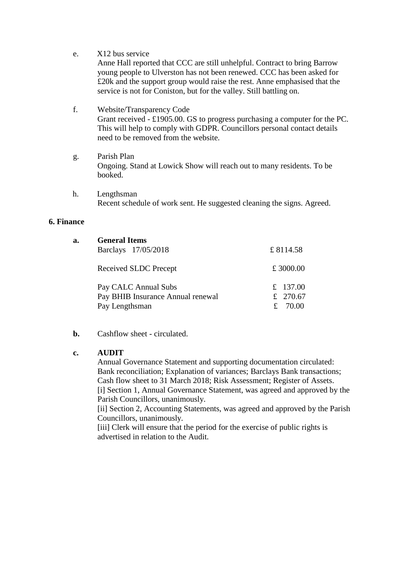e. X12 bus service

Anne Hall reported that CCC are still unhelpful. Contract to bring Barrow young people to Ulverston has not been renewed. CCC has been asked for £20k and the support group would raise the rest. Anne emphasised that the service is not for Coniston, but for the valley. Still battling on.

f. Website/Transparency Code

Grant received - £1905.00. GS to progress purchasing a computer for the PC. This will help to comply with GDPR. Councillors personal contact details need to be removed from the website.

- g. Parish Plan Ongoing. Stand at Lowick Show will reach out to many residents. To be booked.
- h. Lengthsman Recent schedule of work sent. He suggested cleaning the signs. Agreed.

## **6. Finance**

| a. | <b>General Items</b><br>Barclays 17/05/2018                                 | £8114.58                        |
|----|-----------------------------------------------------------------------------|---------------------------------|
|    | Received SLDC Precept                                                       | £ 3000.00                       |
|    | Pay CALC Annual Subs<br>Pay BHIB Insurance Annual renewal<br>Pay Lengthsman | £ 137.00<br>£ 270.67<br>£ 70.00 |

**b.** Cashflow sheet - circulated.

## **c. AUDIT**

Annual Governance Statement and supporting documentation circulated: Bank reconciliation; Explanation of variances; Barclays Bank transactions; Cash flow sheet to 31 March 2018; Risk Assessment; Register of Assets. [i] Section 1, Annual Governance Statement, was agreed and approved by the Parish Councillors, unanimously.

[ii] Section 2, Accounting Statements, was agreed and approved by the Parish Councillors, unanimously.

[iii] Clerk will ensure that the period for the exercise of public rights is advertised in relation to the Audit.